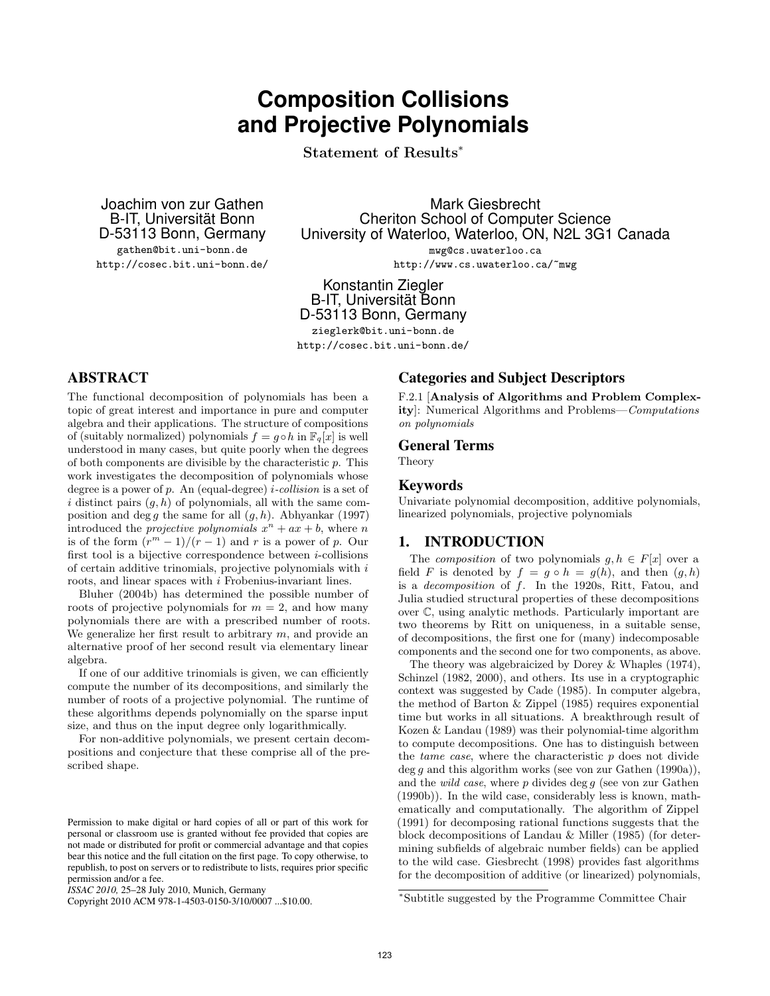# **Composition Collisions and Projective Polynomials**

Statement of Results<sup>∗</sup>

Joachim von zur Gathen B-IT, Universität Bonn D-53113 Bonn, Germany gathen@bit.uni-bonn.de

<http://cosec.bit.uni-bonn.de/>

Mark Giesbrecht Cheriton School of Computer Science University of Waterloo, Waterloo, ON, N2L 3G1 Canada mwg@cs.uwaterloo.ca

<http://www.cs.uwaterloo.ca/~mwg>

Konstantin Ziegler B-IT, Universität Bonn D-53113 Bonn, Germany zieglerk@bit.uni-bonn.de

<http://cosec.bit.uni-bonn.de/>

# ABSTRACT

The functional decomposition of polynomials has been a topic of great interest and importance in pure and computer algebra and their applications. The structure of compositions of (suitably normalized) polynomials  $f = g \circ h$  in  $\mathbb{F}_q[x]$  is well understood in many cases, but quite poorly when the degrees of both components are divisible by the characteristic  $p$ . This work investigates the decomposition of polynomials whose degree is a power of  $p$ . An (equal-degree) *i-collision* is a set of i distinct pairs  $(g, h)$  of polynomials, all with the same composition and deg g the same for all  $(g, h)$ . [Abhyankar](#page-7-0) [\(1997\)](#page-7-0) introduced the *projective polynomials*  $x^n + ax + b$ , where *n* is of the form  $(r^m - 1)/(r - 1)$  and r is a power of p. Our first tool is a bijective correspondence between  $i$ -collisions of certain additive trinomials, projective polynomials with  $i$ roots, and linear spaces with i Frobenius-invariant lines.

[Bluher](#page-7-1) [\(2004b\)](#page-7-1) has determined the possible number of roots of projective polynomials for  $m = 2$ , and how many polynomials there are with a prescribed number of roots. We generalize her first result to arbitrary  $m$ , and provide an alternative proof of her second result via elementary linear algebra.

If one of our additive trinomials is given, we can efficiently compute the number of its decompositions, and similarly the number of roots of a projective polynomial. The runtime of these algorithms depends polynomially on the sparse input size, and thus on the input degree only logarithmically.

For non-additive polynomials, we present certain decompositions and conjecture that these comprise all of the prescribed shape.

### Categories and Subject Descriptors

F.2.1 [Analysis of Algorithms and Problem Complexity]: Numerical Algorithms and Problems—Computations on polynomials

#### General Terms

Theory

### Keywords

Univariate polynomial decomposition, additive polynomials, linearized polynomials, projective polynomials

### 1. INTRODUCTION

The *composition* of two polynomials  $g, h \in F[x]$  over a field F is denoted by  $f = g \circ h = g(h)$ , and then  $(g, h)$ is a decomposition of f. In the 1920s, Ritt, Fatou, and Julia studied structural properties of these decompositions over C, using analytic methods. Particularly important are two theorems by Ritt on uniqueness, in a suitable sense, of decompositions, the first one for (many) indecomposable components and the second one for two components, as above.

The theory was algebraicized by [Dorey & Whaples](#page-7-2) [\(1974\)](#page-7-2), [Schinzel](#page-7-3) [\(1982,](#page-7-3) [2000\)](#page-7-4), and others. Its use in a cryptographic context was suggested by [Cade](#page-7-5) [\(1985\)](#page-7-5). In computer algebra, the method of [Barton & Zippel](#page-7-6) [\(1985\)](#page-7-6) requires exponential time but works in all situations. A breakthrough result of [Kozen & Landau](#page-7-7) [\(1989\)](#page-7-7) was their polynomial-time algorithm to compute decompositions. One has to distinguish between the *tame case*, where the characteristic  $p$  does not divide  $\deg q$  and this algorithm works (see [von zur Gathen](#page-7-8) [\(1990a\)](#page-7-8)), and the *wild case*, where  $p$  divides deg  $g$  (see [von zur Gathen](#page-7-9) [\(1990b\)](#page-7-9)). In the wild case, considerably less is known, mathematically and computationally. The algorithm of [Zippel](#page-7-10) [\(1991\)](#page-7-10) for decomposing rational functions suggests that the block decompositions of [Landau & Miller](#page-7-11) [\(1985\)](#page-7-11) (for determining subfields of algebraic number fields) can be applied to the wild case. [Giesbrecht](#page-7-12) [\(1998\)](#page-7-12) provides fast algorithms for the decomposition of additive (or linearized) polynomials,

Permission to make digital or hard copies of all or part of this work for personal or classroom use is granted without fee provided that copies are not made or distributed for profit or commercial advantage and that copies bear this notice and the full citation on the first page. To copy otherwise, to republish, to post on servers or to redistribute to lists, requires prior specific permission and/or a fee.

*ISSAC 2010,* 25–28 July 2010, Munich, Germany

Copyright 2010 ACM 978-1-4503-0150-3/10/0007 ...\$10.00.

<sup>∗</sup>Subtitle suggested by the Programme Committee Chair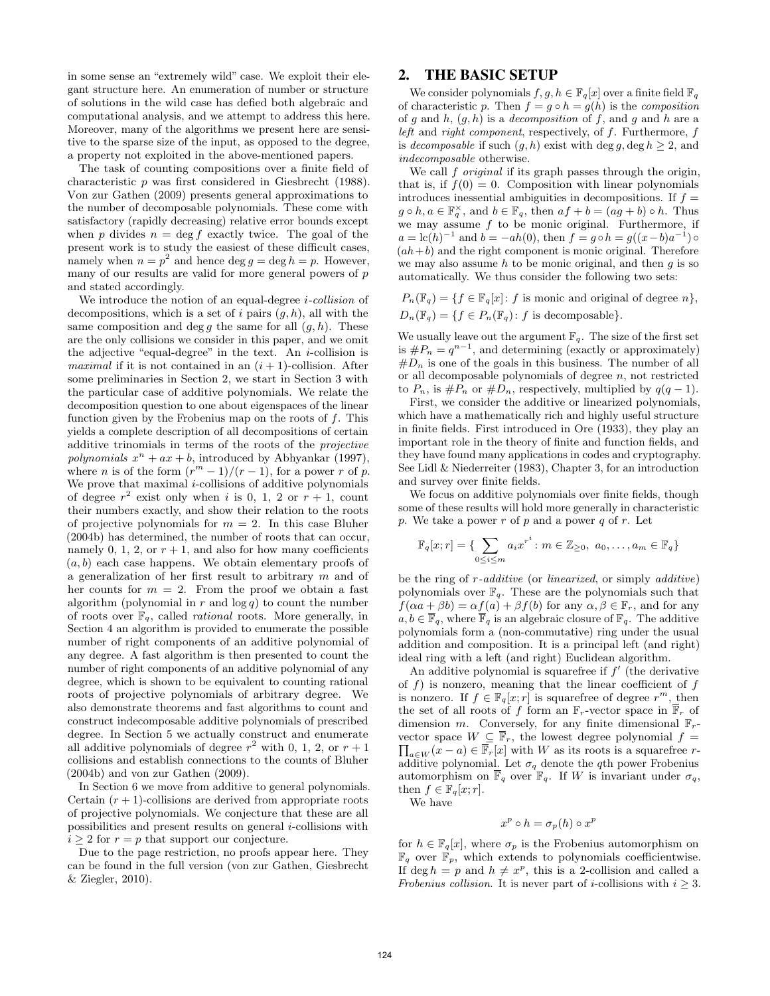in some sense an "extremely wild" case. We exploit their elegant structure here. An enumeration of number or structure of solutions in the wild case has defied both algebraic and computational analysis, and we attempt to address this here. Moreover, many of the algorithms we present here are sensitive to the sparse size of the input, as opposed to the degree, a property not exploited in the above-mentioned papers.

The task of counting compositions over a finite field of characteristic p was first considered in [Giesbrecht](#page-7-13) [\(1988\)](#page-7-13). [Von zur Gathen](#page-7-14) [\(2009\)](#page-7-14) presents general approximations to the number of decomposable polynomials. These come with satisfactory (rapidly decreasing) relative error bounds except when p divides  $n = \deg f$  exactly twice. The goal of the present work is to study the easiest of these difficult cases, namely when  $n = p^2$  and hence deg  $q = \deg h = p$ . However, many of our results are valid for more general powers of  $\boldsymbol{p}$ and stated accordingly.

We introduce the notion of an equal-degree  $i$ -collision of decompositions, which is a set of i pairs  $(g, h)$ , all with the same composition and deg g the same for all  $(g, h)$ . These are the only collisions we consider in this paper, and we omit the adjective "equal-degree" in the text. An  $i$ -collision is maximal if it is not contained in an  $(i + 1)$ -collision. After some preliminaries in [Section 2,](#page-1-0) we start in [Section 3](#page-2-0) with the particular case of additive polynomials. We relate the decomposition question to one about eigenspaces of the linear function given by the Frobenius map on the roots of  $f$ . This yields a complete description of all decompositions of certain additive trinomials in terms of the roots of the projective polynomials  $x^n + ax + b$ , introduced by [Abhyankar](#page-7-0) [\(1997\)](#page-7-0), where *n* is of the form  $(r^m - 1)/(r - 1)$ , for a power *r* of *p*. We prove that maximal  $i$ -collisions of additive polynomials of degree  $r^2$  exist only when i is 0, 1, 2 or  $r + 1$ , count their numbers exactly, and show their relation to the roots of projective polynomials for  $m = 2$ . In this case [Bluher](#page-7-1) [\(2004b\)](#page-7-1) has determined, the number of roots that can occur, namely 0, 1, 2, or  $r + 1$ , and also for how many coefficients  $(a, b)$  each case happens. We obtain elementary proofs of a generalization of her first result to arbitrary m and of her counts for  $m = 2$ . From the proof we obtain a fast algorithm (polynomial in  $r$  and  $log q$ ) to count the number of roots over  $\mathbb{F}_q$ , called *rational* roots. More generally, in [Section 4](#page-3-0) an algorithm is provided to enumerate the possible number of right components of an additive polynomial of any degree. A fast algorithm is then presented to count the number of right components of an additive polynomial of any degree, which is shown to be equivalent to counting rational roots of projective polynomials of arbitrary degree. We also demonstrate theorems and fast algorithms to count and construct indecomposable additive polynomials of prescribed degree. In [Section 5](#page-4-0) we actually construct and enumerate all additive polynomials of degree  $r^2$  with 0, 1, 2, or  $r + 1$ collisions and establish connections to the counts of [Bluher](#page-7-1) [\(2004b\)](#page-7-1) and [von zur Gathen](#page-7-14) [\(2009\)](#page-7-14).

In [Section 6](#page-5-0) we move from additive to general polynomials. Certain  $(r + 1)$ -collisions are derived from appropriate roots of projective polynomials. We conjecture that these are all possibilities and present results on general i-collisions with  $i \geq 2$  for  $r = p$  that support our conjecture.

Due to the page restriction, no proofs appear here. They can be found in the full version [\(von zur Gathen, Giesbrecht](#page-7-15) [& Ziegler, 2010\)](#page-7-15).

## <span id="page-1-0"></span>2. THE BASIC SETUP

We consider polynomials  $f, g, h \in \mathbb{F}_q[x]$  over a finite field  $\mathbb{F}_q$ of characteristic p. Then  $f = q \circ h = q(h)$  is the *composition* of g and h,  $(g, h)$  is a decomposition of f, and g and h are a left and right component, respectively, of f. Furthermore, f is decomposable if such  $(g, h)$  exist with deg g, deg  $h \geq 2$ , and indecomposable otherwise.

We call  $f$  *original* if its graph passes through the origin, that is, if  $f(0) = 0$ . Composition with linear polynomials introduces inessential ambiguities in decompositions. If  $f =$  $g \circ h, a \in \mathbb{F}_q^{\times}$ , and  $b \in \mathbb{F}_q$ , then  $af + b = (ag + b) \circ h$ . Thus we may assume  $f$  to be monic original. Furthermore, if  $a = \text{lc}(h)^{-1}$  and  $b = -ah(0)$ , then  $f = g \circ h = g((x - b)a^{-1}) \circ$  $(ah+b)$  and the right component is monic original. Therefore we may also assume  $h$  to be monic original, and then  $g$  is so automatically. We thus consider the following two sets:

 $P_n(\mathbb{F}_q) = \{f \in \mathbb{F}_q[x] : f \text{ is monic and original of degree } n\},\$  $D_n(\mathbb{F}_q) = \{f \in P_n(\mathbb{F}_q): f \text{ is decomposable}\}.$ 

We usually leave out the argument  $\mathbb{F}_q$ . The size of the first set is  $\#P_n = q^{n-1}$ , and determining (exactly or approximately)  $#D_n$  is one of the goals in this business. The number of all or all decomposable polynomials of degree  $n$ , not restricted to  $P_n$ , is  $\#P_n$  or  $\#D_n$ , respectively, multiplied by  $q(q-1)$ .

First, we consider the additive or linearized polynomials, which have a mathematically rich and highly useful structure in finite fields. First introduced in [Ore](#page-7-16) [\(1933\)](#page-7-16), they play an important role in the theory of finite and function fields, and they have found many applications in codes and cryptography. See [Lidl & Niederreiter](#page-7-17) [\(1983\)](#page-7-17), Chapter 3, for an introduction and survey over finite fields.

We focus on additive polynomials over finite fields, though some of these results will hold more generally in characteristic p. We take a power r of p and a power q of r. Let

$$
\mathbb{F}_q[x;r] = \{ \sum_{0 \le i \le m} a_i x^{r^i} : m \in \mathbb{Z}_{\ge 0}, a_0, \dots, a_m \in \mathbb{F}_q \}
$$

be the ring of r-additive (or linearized, or simply additive) polynomials over  $\mathbb{F}_q$ . These are the polynomials such that  $f(\alpha a + \beta b) = \alpha f(a) + \beta f(b)$  for any  $\alpha, \beta \in \mathbb{F}_r$ , and for any  $a, b \in \overline{\mathbb{F}}_q$ , where  $\overline{\mathbb{F}}_q$  is an algebraic closure of  $\mathbb{F}_q$ . The additive polynomials form a (non-commutative) ring under the usual addition and composition. It is a principal left (and right) ideal ring with a left (and right) Euclidean algorithm.

An additive polynomial is squarefree if  $f'$  (the derivative of  $f$ ) is nonzero, meaning that the linear coefficient of  $f$ is nonzero. If  $f \in \mathbb{F}_q[x; r]$  is squarefree of degree  $r^m$ , then the set of all roots of f form an  $\mathbb{F}_r$ -vector space in  $\mathbb{F}_r$  of dimension m. Conversely, for any finite dimensional  $\mathbb{F}_r$ vector space  $\Pi$  $W \subseteq \overline{\mathbb{F}}_r$ , the lowest degree polynomial  $f =$  $a\in W(x-a) \in \overline{\mathbb{F}_r}[x]$  with W as its roots is a squarefree radditive polynomial. Let  $\sigma_q$  denote the qth power Frobenius automorphism on  $\overline{\mathbb{F}}_q$  over  $\mathbb{F}_q$ . If W is invariant under  $\sigma_q$ , then  $f \in \mathbb{F}_q[x; r]$ .

We have

$$
x^p \circ h = \sigma_p(h) \circ x^p
$$

<span id="page-1-1"></span>for  $h \in \mathbb{F}_q[x]$ , where  $\sigma_p$  is the Frobenius automorphism on  $\mathbb{F}_q$  over  $\mathbb{F}_p$ , which extends to polynomials coefficientwise. If deg  $h = p$  and  $h \neq x^p$ , this is a 2-collision and called a Frobenius collision. It is never part of *i*-collisions with  $i \geq 3$ .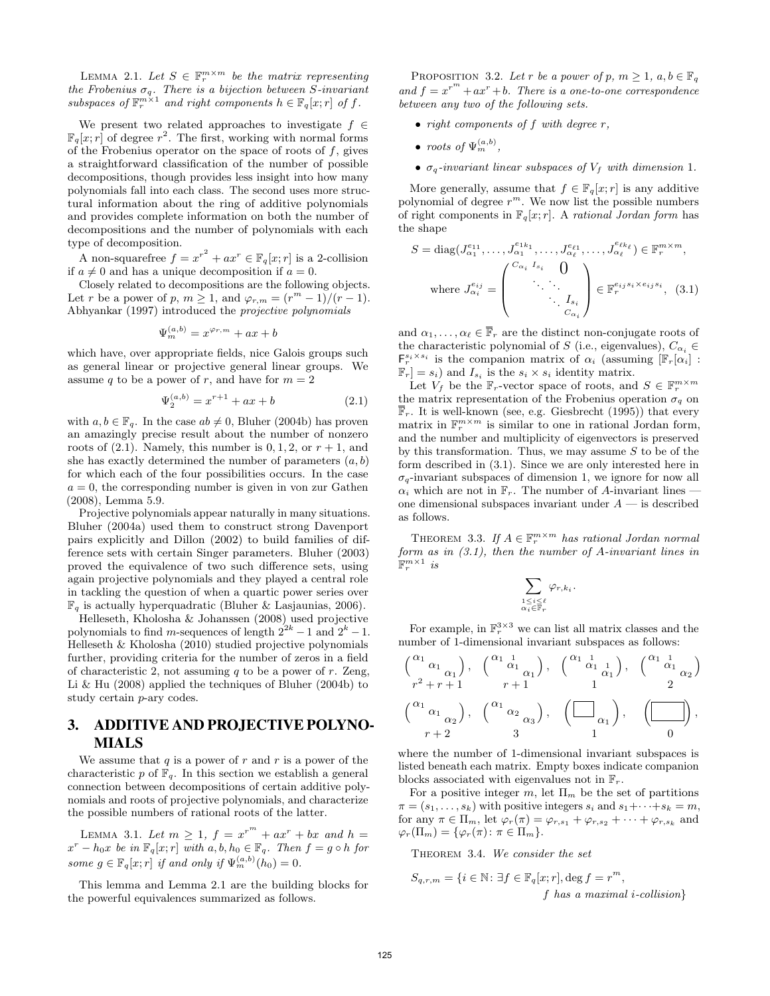LEMMA 2.1. Let  $S \in \mathbb{F}_r^{m \times m}$  be the matrix representing the Frobenius  $\sigma_q$ . There is a bijection between S-invariant subspaces of  $\mathbb{F}_r^{m \times 1}$  and right components  $h \in \mathbb{F}_q[x; r]$  of f.

We present two related approaches to investigate  $f \in$  $\mathbb{F}_q[x; r]$  of degree  $r^2$ . The first, working with normal forms of the Frobenius operator on the space of roots of  $f$ , gives a straightforward classification of the number of possible decompositions, though provides less insight into how many polynomials fall into each class. The second uses more structural information about the ring of additive polynomials and provides complete information on both the number of decompositions and the number of polynomials with each type of decomposition.

A non-squarefree  $f = x^{r^2} + ax^r \in \mathbb{F}_q[x; r]$  is a 2-collision if  $a \neq 0$  and has a unique decomposition if  $a = 0$ .

Closely related to decompositions are the following objects. Let r be a power of p,  $m \geq 1$ , and  $\varphi_{r,m} = (r^m - 1)/(r - 1)$ . [Abhyankar](#page-7-0) [\(1997\)](#page-7-0) introduced the projective polynomials

$$
\Psi_m^{(a,b)} = x^{\varphi_{r,m}} + ax + b
$$

which have, over appropriate fields, nice Galois groups such as general linear or projective general linear groups. We assume q to be a power of r, and have for  $m = 2$ 

$$
\Psi_2^{(a,b)} = x^{r+1} + ax + b \tag{2.1}
$$

with  $a, b \in \mathbb{F}_q$ . In the case  $ab \neq 0$ , [Bluher](#page-7-1) [\(2004b\)](#page-7-1) has proven an amazingly precise result about the number of nonzero roots of  $(2.1)$ . Namely, this number is  $0, 1, 2$ , or  $r + 1$ , and she has exactly determined the number of parameters  $(a, b)$ for which each of the four possibilities occurs. In the case  $a = 0$ , the corresponding number is given in [von zur Gathen](#page-7-18) [\(2008\)](#page-7-18), Lemma 5.9.

Projective polynomials appear naturally in many situations. [Bluher](#page-7-19) [\(2004a\)](#page-7-19) used them to construct strong Davenport pairs explicitly and [Dillon](#page-7-20) [\(2002\)](#page-7-20) to build families of difference sets with certain Singer parameters. [Bluher](#page-7-21) [\(2003\)](#page-7-21) proved the equivalence of two such difference sets, using again projective polynomials and they played a central role in tackling the question of when a quartic power series over  $\mathbb{F}_q$  is actually hyperquadratic [\(Bluher & Lasjaunias, 2006\)](#page-7-22).

[Helleseth, Kholosha & Johanssen](#page-7-23) [\(2008\)](#page-7-23) used projective polynomials to find m-sequences of length  $2^{2k} - 1$  and  $2^k - 1$ . [Helleseth & Kholosha](#page-7-24) [\(2010\)](#page-7-24) studied projective polynomials further, providing criteria for the number of zeros in a field of characteristic 2, not assuming  $q$  to be a power of  $r$ . [Zeng,](#page-7-25) [Li & Hu](#page-7-25) [\(2008\)](#page-7-25) applied the techniques of [Bluher](#page-7-1) [\(2004b\)](#page-7-1) to study certain p-ary codes.

# <span id="page-2-0"></span>3. ADDITIVE AND PROJECTIVE POLYNO-MIALS

We assume that  $q$  is a power of  $r$  and  $r$  is a power of the characteristic p of  $\mathbb{F}_q$ . In this section we establish a general connection between decompositions of certain additive polynomials and roots of projective polynomials, and characterize the possible numbers of rational roots of the latter.

<span id="page-2-5"></span>LEMMA 3.1. Let  $m \geq 1$ ,  $f = x^{r^m} + ax^r + bx$  and  $h =$  $x^r - h_0x$  be in  $\mathbb{F}_q[x; r]$  with  $a, b, h_0 \in \mathbb{F}_q$ . Then  $f = g \circ h$  for some  $g \in \mathbb{F}_q[x; r]$  if and only if  $\Psi_m^{(a,b)}(h_0) = 0$ .

<span id="page-2-3"></span>This lemma and Lemma [2.1](#page-1-1) are the building blocks for the powerful equivalences summarized as follows.

PROPOSITION 3.2. Let r be a power of p,  $m \geq 1$ ,  $a, b \in \mathbb{F}_q$ and  $f = x^{r^m} + ax^r + b$ . There is a one-to-one correspondence between any two of the following sets.

- right components of  $f$  with degree  $r$ ,
- roots of  $\Psi_m^{(a,b)}$ ,
- $\sigma_q$ -invariant linear subspaces of  $V_f$  with dimension 1.

More generally, assume that  $f \in \mathbb{F}_q[x; r]$  is any additive polynomial of degree  $r^m$ . We now list the possible numbers of right components in  $\mathbb{F}_q[x; r]$ . A rational Jordan form has the shape

<span id="page-2-2"></span>
$$
S = \text{diag}(J_{\alpha_1}^{e_{11}}, \dots, J_{\alpha_1}^{e_{1k_1}}, \dots, J_{\alpha_\ell}^{e_{\ell_1}}, \dots, J_{\alpha_\ell}^{e_{\ell k_\ell}}) \in \mathbb{F}_r^{m \times m},
$$
  
where 
$$
J_{\alpha_i}^{e_{ij}} = \begin{pmatrix} C_{\alpha_i} & I_{s_i} & 0 \\ & \ddots & \ddots \\ & & \ddots & I_{s_i} \\ & & & C_{\alpha_i} \end{pmatrix} \in \mathbb{F}_r^{e_{ij}s_i \times e_{ij}s_i}, \quad (3.1)
$$

and  $\alpha_1, \ldots, \alpha_\ell \in \overline{\mathbb{F}}_r$  are the distinct non-conjugate roots of the characteristic polynomial of S (i.e., eigenvalues),  $C_{\alpha_i} \in$  $\mathsf{F}_r^{s_i \times s_i}$  is the companion matrix of  $\alpha_i$  (assuming  $[\mathbb{F}_r[\alpha_i]$ ):  $\mathbb{F}_r] = s_i$  and  $I_{s_i}$  is the  $s_i \times s_i$  identity matrix.

<span id="page-2-1"></span>Let  $V_f$  be the  $\mathbb{F}_r$ -vector space of roots, and  $S \in \mathbb{F}_r^{m \times m}$ the matrix representation of the Frobenius operation  $\sigma_q$  on  $\overline{\mathbb{F}}_r$ . It is well-known (see, e.g. [Giesbrecht](#page-7-26) [\(1995\)](#page-7-26)) that every matrix in  $\mathbb{F}_r^{m \times m}$  is similar to one in rational Jordan form, and the number and multiplicity of eigenvectors is preserved by this transformation. Thus, we may assume  $S$  to be of the form described in [\(3.1\)](#page-2-2). Since we are only interested here in  $\sigma_q$ -invariant subspaces of dimension 1, we ignore for now all  $\alpha_i$  which are not in  $\mathbb{F}_r$ . The number of A-invariant lines – one dimensional subspaces invariant under  $A$  — is described as follows.

THEOREM 3.3. If  $A \in \mathbb{F}_r^{m \times m}$  has rational Jordan normal form as in  $(3.1)$ , then the number of A-invariant lines in  $\mathbb{F}_r^{m\times 1}$  is

$$
\sum_{\substack{1\leq i\leq\ell\\ \alpha_i\in {\mathbb F}_r}} \varphi_{r,k_i}.
$$

For example, in  $\mathbb{F}_r^{3\times 3}$  we can list all matrix classes and the number of 1-dimensional invariant subspaces as follows:

$$
\begin{pmatrix}\n\alpha_1 & \alpha_1 \\
r^2 + r + 1 & r + 1\n\end{pmatrix}, \quad\n\begin{pmatrix}\n\alpha_1 & \alpha_1 \\
\alpha_1 & \alpha_1 \\
r + 1 & 1\n\end{pmatrix}, \quad\n\begin{pmatrix}\n\alpha_1 & \alpha_1 \\
\alpha_1 & \alpha_1 \\
r + 2 & 3\n\end{pmatrix}, \quad\n\begin{pmatrix}\n\alpha_1 & \alpha_1 \\
\alpha_1 & \alpha_1 \\
r + 2 & 3\n\end{pmatrix}, \quad\n\begin{pmatrix}\n\alpha_1 & \alpha_2 \\
\alpha_2 & \alpha_3\n\end{pmatrix}, \quad\n\begin{pmatrix}\n\alpha_1 & \alpha_2 \\
\alpha_1 & \alpha_1 \\
r + 2 & 3\n\end{pmatrix}, \quad\n\begin{pmatrix}\n\alpha_1 & \alpha_2 \\
\alpha_1 & \alpha_2 \\
r + 2 & 3\n\end{pmatrix}, \quad\n\begin{pmatrix}\n\alpha_1 & \alpha_2 \\
\alpha_1 & \alpha_2 \\
r + 2 & 3\n\end{pmatrix}, \quad\n\begin{pmatrix}\n\alpha_1 & \alpha_2 \\
\alpha_1 & \alpha_2 \\
r + 2 & 3\n\end{pmatrix}, \quad\n\begin{pmatrix}\n\alpha_1 & \alpha_2 \\
\alpha_1 & \alpha_2 \\
r + 2 & 3\n\end{pmatrix}, \quad\n\begin{pmatrix}\n\alpha_1 & \alpha_2 \\
\alpha_1 & \alpha_2 \\
r + 2 & 3\n\end{pmatrix}, \quad\n\begin{pmatrix}\n\alpha_1 & \alpha_2 \\
\alpha_1 & \alpha_2 \\
r + 2 & 3\n\end{pmatrix}, \quad\n\begin{pmatrix}\n\alpha_1 & \alpha_2 \\
\alpha_1 & \alpha_2 \\
r + 2 & 3\n\end{pmatrix}, \quad\n\begin{pmatrix}\n\alpha_1 & \alpha_2 \\
\alpha_2 & \alpha_3\n\end{pmatrix}, \quad\n\begin{pmatrix}\n\alpha_1 & \alpha_2 \\
\alpha_2 & \alpha_3\n\end{pmatrix}, \quad\n\begin{pmatrix}\n\alpha_1 & \alpha_2 \\
\alpha_2 & \alpha_3\n\end{pmatrix}, \quad\n\begin{pmatrix}\n\alpha_1 & \alpha_2 \\
\alpha_2 & \alpha_3\n\end{pmatrix}, \quad\n\begin{pmatrix}\n\alpha_1 & \alpha_2 \\
\alpha_2 & \alpha_3\n\end{pmatrix}, \quad\n\begin{pmatrix}\n\alpha_1 & \alpha_2 \\
\alpha_
$$

where the number of 1-dimensional invariant subspaces is listed beneath each matrix. Empty boxes indicate companion blocks associated with eigenvalues not in  $\mathbb{F}_r$ .

For a positive integer  $m$ , let  $\Pi_m$  be the set of partitions  $\pi = (s_1, \ldots, s_k)$  with positive integers  $s_i$  and  $s_1 + \cdots + s_k = m$ , for any  $\pi \in \Pi_m$ , let  $\varphi_r(\pi) = \varphi_{r,s_1} + \varphi_{r,s_2} + \cdots + \varphi_{r,s_k}$  and  $\varphi_r(\Pi_m) = {\varphi_r(\pi) : \pi \in \Pi_m}.$ 

<span id="page-2-4"></span>THEOREM 3.4. We consider the set

$$
S_{q,r,m} = \{ i \in \mathbb{N} : \exists f \in \mathbb{F}_q[x; r], \deg f = r^m,
$$
  
*f has a maximal i-collision*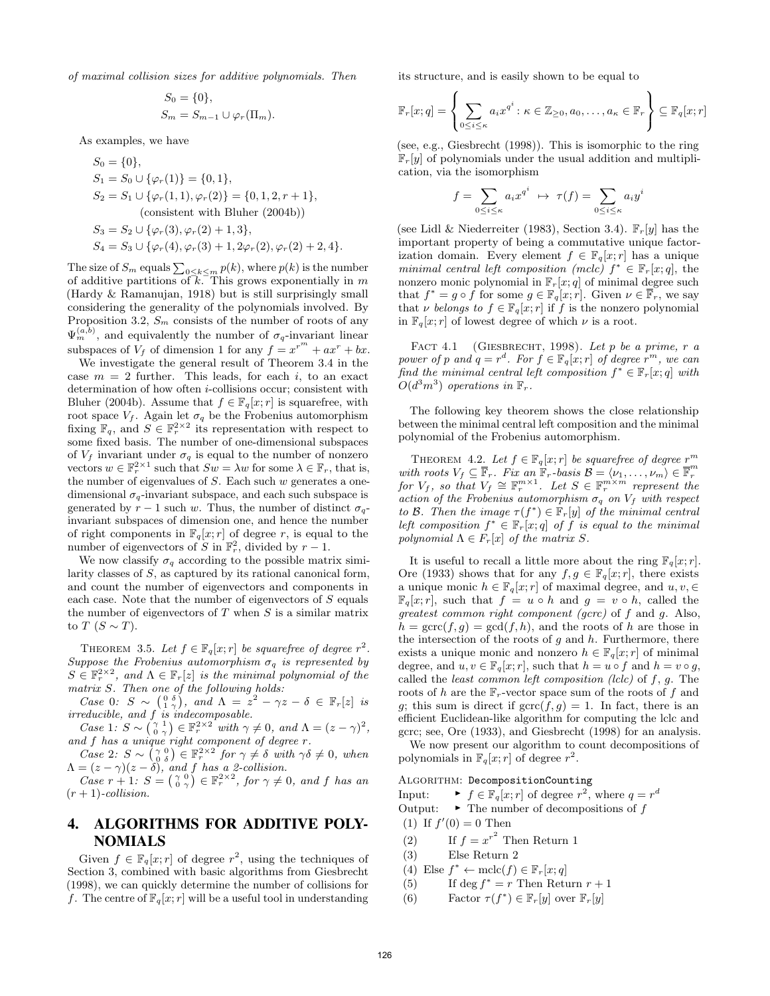of maximal collision sizes for additive polynomials. Then

$$
S_0 = \{0\},
$$
  
\n
$$
S_m = S_{m-1} \cup \varphi_r(\Pi_m).
$$

As examples, we have

$$
S_0 = \{0\},
$$
  
\n
$$
S_1 = S_0 \cup \{\varphi_r(1)\} = \{0, 1\},
$$
  
\n
$$
S_2 = S_1 \cup \{\varphi_r(1, 1), \varphi_r(2)\} = \{0, 1, 2, r + 1\},
$$
  
\n(consistent with Bluher (2004b))  
\n
$$
S_3 = S_2 \cup \{\varphi_r(3), \varphi_r(2) + 1, 3\},
$$
  
\n
$$
S_4 = S_3 \cup \{\varphi_r(4), \varphi_r(3) + 1, 2\varphi_r(2), \varphi_r(2) + 2, 4\}.
$$

The size of  $S_m$  equals  $\sum_{0 \le k \le m} p(k)$ , where  $p(k)$  is the number of additive partitions of  $\overline{k}$ . This grows exponentially in m [\(Hardy & Ramanujan, 1918\)](#page-7-27) but is still surprisingly small considering the generality of the polynomials involved. By Proposition [3.2,](#page-2-3)  $S_m$  consists of the number of roots of any  $\Psi_{m}^{(a,b)}$ , and equivalently the number of  $\sigma_{q}$ -invariant linear subspaces of  $V_f$  of dimension 1 for any  $f = x^{r^m} + ax^r + bx$ .

We investigate the general result of Theorem [3.4](#page-2-4) in the case  $m = 2$  further. This leads, for each i, to an exact determination of how often *i*-collisions occur; consistent with [Bluher](#page-7-1) [\(2004b\)](#page-7-1). Assume that  $f \in \mathbb{F}_q[x; r]$  is squarefree, with root space  $V_f$ . Again let  $\sigma_q$  be the Frobenius automorphism fixing  $\mathbb{F}_q$ , and  $S \in \mathbb{F}_r^{2 \times 2}$  its representation with respect to some fixed basis. The number of one-dimensional subspaces of  $V_f$  invariant under  $\sigma_q$  is equal to the number of nonzero vectors  $w \in \mathbb{F}_r^{2 \times 1}$  such that  $Sw = \lambda w$  for some  $\lambda \in \mathbb{F}_r$ , that is, the number of eigenvalues of  $S$ . Each such  $w$  generates a onedimensional  $\sigma_{q}$ -invariant subspace, and each such subspace is generated by  $r - 1$  such w. Thus, the number of distinct  $\sigma_{q}$ invariant subspaces of dimension one, and hence the number of right components in  $\mathbb{F}_q[x; r]$  of degree r, is equal to the number of eigenvectors of S in  $\mathbb{F}_r^2$ , divided by  $r-1$ .

We now classify  $\sigma_q$  according to the possible matrix similarity classes of S, as captured by its rational canonical form, and count the number of eigenvectors and components in each case. Note that the number of eigenvectors of  $S$  equals the number of eigenvectors of  $T$  when  $S$  is a similar matrix to  $T$   $(S \sim T)$ .

<span id="page-3-1"></span>THEOREM 3.5. Let  $f \in \mathbb{F}_q[x; r]$  be squarefree of degree  $r^2$ . Suppose the Frobenius automorphism  $\sigma_q$  is represented by  $S \in \mathbb{F}_r^{2 \times 2}$ , and  $\Lambda \in \mathbb{F}_r[z]$  is the minimal polynomial of the matrix S. Then one of the following holds:

Case 0:  $S \sim \begin{pmatrix} 0 & \delta \\ 1 & \gamma \end{pmatrix}$ , and  $\Lambda = z^2 - \gamma z - \delta \in \mathbb{F}_r[z]$  is irreducible, and f is indecomposable.

Case 1:  $S \sim \begin{pmatrix} \gamma & 1 \\ 0 & \gamma \end{pmatrix} \in \mathbb{F}_r^{2 \times 2}$  with  $\gamma \neq 0$ , and  $\Lambda = (z - \gamma)^2$ , and f has a unique right component of degree r.

Case 2:  $S \sim \left(\begin{smallmatrix} \gamma & 0 \\ 0 & \delta \end{smallmatrix}\right) \in \mathbb{F}_r^{2 \times 2}$  for  $\gamma \neq \delta$  with  $\gamma \delta \neq 0$ , when  $\Lambda = (z - \gamma)(z - \delta)$ , and f has a 2-collision.

Case  $r + 1$ :  $S = \begin{pmatrix} \gamma & 0 \\ 0 & \gamma \end{pmatrix} \in \mathbb{F}_r^{2 \times 2}$ , for  $\gamma \neq 0$ , and f has an  $(r+1)$ -collision.

# <span id="page-3-0"></span>4. ALGORITHMS FOR ADDITIVE POLY-NOMIALS

Given  $f \in \mathbb{F}_q[x; r]$  of degree  $r^2$ , using the techniques of [Section 3,](#page-2-0) combined with basic algorithms from [Giesbrecht](#page-7-12) [\(1998\)](#page-7-12), we can quickly determine the number of collisions for f. The centre of  $\mathbb{F}_q[x; r]$  will be a useful tool in understanding its structure, and is easily shown to be equal to

$$
\mathbb{F}_r[x;q] = \left\{ \sum_{0 \le i \le \kappa} a_i x^{q^i} : \kappa \in \mathbb{Z}_{\ge 0}, a_0, \ldots, a_\kappa \in \mathbb{F}_r \right\} \subseteq \mathbb{F}_q[x;r]
$$

(see, e.g., [Giesbrecht](#page-7-12) [\(1998\)](#page-7-12)). This is isomorphic to the ring  $\mathbb{F}_r[y]$  of polynomials under the usual addition and multiplication, via the isomorphism

$$
f = \sum_{0 \le i \le \kappa} a_i x^{q^i} \; \mapsto \; \tau(f) = \sum_{0 \le i \le \kappa} a_i y^i
$$

(see [Lidl & Niederreiter](#page-7-17) [\(1983\)](#page-7-17), Section 3.4).  $\mathbb{F}_r[y]$  has the important property of being a commutative unique factorization domain. Every element  $f \in \mathbb{F}_q[x; r]$  has a unique minimal central left composition (mclc)  $f^* \in \mathbb{F}_r[x; q]$ , the nonzero monic polynomial in  $\mathbb{F}_r[x; q]$  of minimal degree such that  $f^* = g \circ \hat{f}$  for some  $g \in \mathbb{F}_q[x; r]$ . Given  $\nu \in \overline{\mathbb{F}_r}$ , we say that v belongs to  $f \in \mathbb{F}_q[x; r]$  if f is the nonzero polynomial in  $\mathbb{F}_q[x; r]$  of lowest degree of which  $\nu$  is a root.

FACT 4.1 (GIESBRECHT, 1998). Let  $p$  be a prime,  $r$  a power of p and  $q = r^d$ . For  $f \in \mathbb{F}_q[x; r]$  of degree  $r^m$ , we can find the minimal central left composition  $f^* \in \mathbb{F}_r[x;q]$  with  $O(d^3m^3)$  operations in  $\mathbb{F}_r$ .

The following key theorem shows the close relationship between the minimal central left composition and the minimal polynomial of the Frobenius automorphism.

THEOREM 4.2. Let  $f \in \mathbb{F}_q[x; r]$  be squarefree of degree  $r^m$ with roots  $V_f \subseteq \overline{\mathbb{F}}_r$ . Fix an  $\mathbb{F}_r$ -basis  $\mathcal{B} = \langle \nu_1, \ldots, \nu_m \rangle \in \overline{\mathbb{F}}_r^m$ <br>for  $V_f$ , so that  $V_f \cong \mathbb{F}_r^{m \times 1}$ . Let  $S \in \mathbb{F}_r^{m \times m}$  represent the action of the Frobenius automorphism  $\sigma_q$  on  $V_f$  with respect to B. Then the image  $\tau(f^*) \in \mathbb{F}_r[y]$  of the minimal central left composition  $f^* \in \mathbb{F}_r[x;q]$  of f is equal to the minimal polynomial  $\Lambda \in F_r[x]$  of the matrix S.

It is useful to recall a little more about the ring  $\mathbb{F}_q[x; r]$ . [Ore](#page-7-16) [\(1933\)](#page-7-16) shows that for any  $f, g \in \mathbb{F}_q[x; r]$ , there exists a unique monic  $h \in \mathbb{F}_q[x; r]$  of maximal degree, and  $u, v, \in$  $\mathbb{F}_q[x; r]$ , such that  $f = u \circ h$  and  $g = v \circ h$ , called the greatest common right component (gcrc) of f and g. Also,  $h = \text{gcrc}(f,g) = \text{gcd}(f,h)$ , and the roots of h are those in the intersection of the roots of  $g$  and  $h$ . Furthermore, there exists a unique monic and nonzero  $h \in \mathbb{F}_q[x; r]$  of minimal degree, and  $u, v \in \mathbb{F}_q[x; r]$ , such that  $h = u \circ f$  and  $h = v \circ g$ , called the *least common left composition (lclc)* of  $f$ ,  $g$ . The roots of h are the  $\mathbb{F}_r$ -vector space sum of the roots of f and g; this sum is direct if  $\text{gcrc}(f,g) = 1$ . In fact, there is an efficient Euclidean-like algorithm for computing the lclc and gcrc; see, [Ore](#page-7-16) [\(1933\)](#page-7-16), and [Giesbrecht](#page-7-12) [\(1998\)](#page-7-12) for an analysis. We now present our algorithm to count decompositions of

polynomials in  $\mathbb{F}_q[x; r]$  of degree  $r^2$ .

### Algorithm: DecompositionCounting

Input:  $\blacktriangleright f \in \mathbb{F}_q[x; r]$  of degree  $r^2$ , where  $q = r^d$ Output:  $\longrightarrow$  The number of decompositions of  $f$ 

- (1) If  $f'(0) = 0$  Then
- (2) If  $f = x^{r^2}$  Then Return 1
- (3) Else Return 2
- (4) Else  $f^* \leftarrow \text{mclc}(f) \in \mathbb{F}_r[x; q]$
- (5) If deg  $f^* = r$  Then Return  $r + 1$
- (6) Factor  $\tau(f^*) \in \mathbb{F}_r[y]$  over  $\mathbb{F}_r[y]$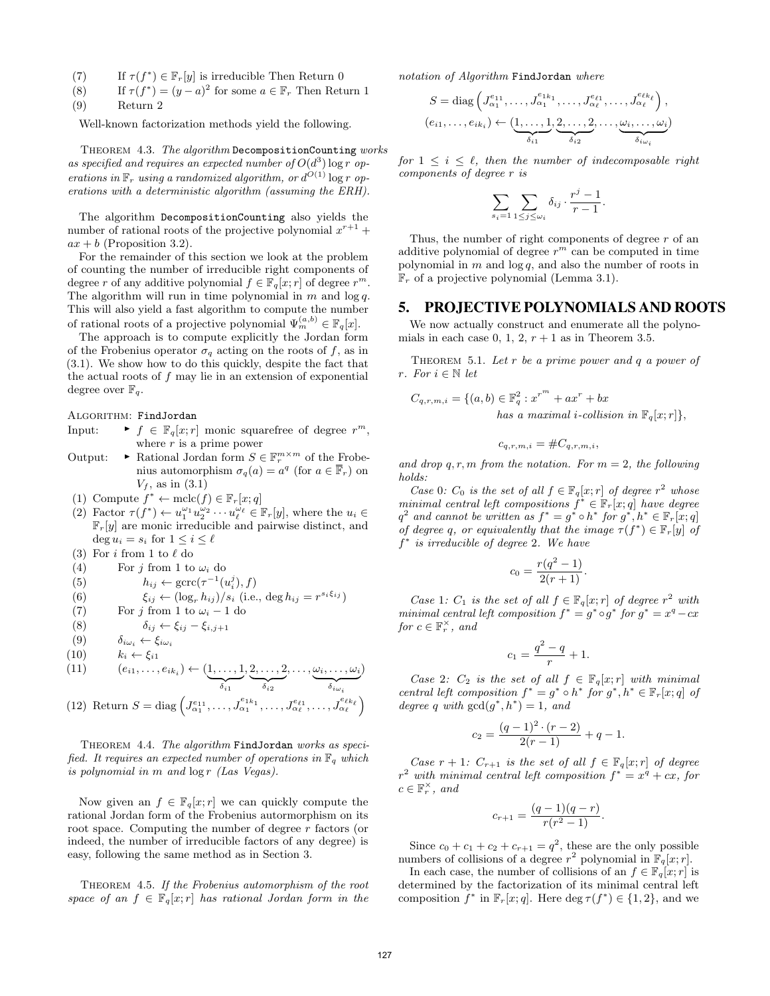- (7) If  $\tau(f^*) \in \mathbb{F}_r[y]$  is irreducible Then Return 0
- (8) If  $\tau(f^*) = (y a)^2$  for some  $a \in \mathbb{F}_r$  Then Return 1

$$
(9) \qquad \text{Return } 2
$$

Well-known factorization methods yield the following.

THEOREM 4.3. The algorithm DecompositionCounting works as specified and requires an expected number of  $O(d^3)$  log r operations in  $\mathbb{F}_r$  using a randomized algorithm, or  $d^{O(1)}$  log r operations with a deterministic algorithm (assuming the ERH).

The algorithm DecompositionCounting also yields the number of rational roots of the projective polynomial  $x^{r+1}$  +  $ax + b$  (Proposition [3.2\)](#page-2-3).

For the remainder of this section we look at the problem of counting the number of irreducible right components of degree r of any additive polynomial  $f \in \mathbb{F}_q[x; r]$  of degree  $r^m$ . The algorithm will run in time polynomial in  $m$  and  $\log q$ . This will also yield a fast algorithm to compute the number of rational roots of a projective polynomial  $\Psi_m^{(a,b)} \in \mathbb{F}_q[x]$ .

The approach is to compute explicitly the Jordan form of the Frobenius operator  $\sigma_q$  acting on the roots of f, as in [\(3.1\)](#page-2-2). We show how to do this quickly, despite the fact that the actual roots of  $f$  may lie in an extension of exponential degree over  $\mathbb{F}_q$ .

ALGORITHM: FindJordan

- Input:  $\blacktriangleright f \in \mathbb{F}_q[x; r]$  monic squarefree of degree  $r^m$ , where  $r$  is a prime power
- Output:  $\longrightarrow$  Rational Jordan form  $S \in \mathbb{F}_r^{m \times m}$  of the Frobenius automorphism  $\sigma_q(a) = a^q$  (for  $a \in \overline{\mathbb{F}}_r$ ) on  $V_f$ , as in [\(3.1\)](#page-2-2)

(1) Compute 
$$
f^* \leftarrow \text{mclc}(f) \in \mathbb{F}_r[x; q]
$$

(2) Factor  $\tau(f^*) \leftarrow u_1^{\omega_1} u_2^{\omega_2} \cdots u_\ell^{\omega_\ell} \in \mathbb{F}_r[y]$ , where the  $u_i \in$  $\mathbb{F}_r[y]$  are monic irreducible and pairwise distinct, and  $\deg u_i = s_i \text{ for } 1 \leq i \leq \ell$ 

(3) For  $i$  from 1 to  $\ell$  do

(4) For 
$$
j
$$
 from 1 to  $\omega_i$  do

(5) 
$$
h_{ij} \leftarrow \text{gcrc}(\tau^{-1}(u_i^j), f)
$$

(6) 
$$
\xi_{ij} \leftarrow (\log_r h_{ij})/s_i \text{ (i.e., } \deg h_{ij} = r^{s_i \xi_{ij}})
$$

(7) For j from 1 to  $\omega_i - 1$  do

$$
(8) \qquad \delta_{ij} \leftarrow \xi_{ij} - \xi_{i,j+1}
$$

$$
(9) \qquad \delta_{i\omega_i} \leftarrow \xi_{i\omega_i}
$$

$$
(10) \qquad k_i \leftarrow \xi_{i1}
$$

(11) 
$$
(e_{i1}, \ldots, e_{ik_i}) \leftarrow (\underbrace{1, \ldots, 1}_{\delta_{i1}}, \underbrace{2, \ldots, 2}_{\delta_{i2}}, \ldots, \underbrace{\omega_i, \ldots, \omega_i}_{\delta_{i\omega_i}})
$$
  
(12) Return  $S = \text{diag} \left( I^{e_{11}} \right) I^{e_{1k_1}} I^{e_{\ell_1}} I^{e_{\ell_1}} I^{e_{\ell_k}}$ 

(12) Return 
$$
S = \text{diag}\left(J_{\alpha_1}^{e_{11}}, \ldots, J_{\alpha_1}^{e_{1k_1}}, \ldots, J_{\alpha_\ell}^{e_{\ell1}}, \ldots, J_{\alpha_\ell}^{e_{\ell k_\ell}}\right)
$$

THEOREM 4.4. The algorithm FindJordan works as specified. It requires an expected number of operations in  $\mathbb{F}_q$  which is polynomial in  $m$  and  $\log r$  (Las Vegas).

Now given an  $f \in \mathbb{F}_q[x; r]$  we can quickly compute the rational Jordan form of the Frobenius autormorphism on its root space. Computing the number of degree r factors (or indeed, the number of irreducible factors of any degree) is easy, following the same method as in [Section 3.](#page-2-0)

THEOREM 4.5. If the Frobenius automorphism of the root space of an  $f \in \mathbb{F}_q[x; r]$  has rational Jordan form in the notation of Algorithm FindJordan where

$$
S = \text{diag}\left(J_{\alpha_1}^{e_{11}}, \dots, J_{\alpha_1}^{e_{1k_1}}, \dots, J_{\alpha_\ell}^{e_{\ell 1}}, \dots, J_{\alpha_\ell}^{e_{\ell k_\ell}}\right),
$$

$$
(e_{i1}, \dots, e_{ik_i}) \leftarrow (\underbrace{1, \dots, 1}_{\delta_{i1}}, \underbrace{2, \dots, 2}_{\delta_{i2}}, \dots, \underbrace{\omega_i, \dots, \omega_i}_{\delta_{i\omega_i}})
$$

for  $1 \leq i \leq \ell$ , then the number of indecomposable right components of degree r is

$$
\sum_{s_i=1} \sum_{1 \leq j \leq \omega_i} \delta_{ij} \cdot \frac{r^j-1}{r-1}.
$$

Thus, the number of right components of degree  $r$  of an additive polynomial of degree  $r^m$  can be computed in time polynomial in  $m$  and  $\log q$ , and also the number of roots in  $\mathbb{F}_r$  of a projective polynomial (Lemma [3.1\)](#page-2-5).

#### <span id="page-4-0"></span>5. PROJECTIVE POLYNOMIALS AND ROOTS

We now actually construct and enumerate all the polynomials in each case 0, 1, 2,  $r + 1$  as in Theorem [3.5.](#page-3-1)

THEOREM 5.1. Let  $r$  be a prime power and  $q$  a power of r. For  $i \in \mathbb{N}$  let

$$
C_{q,r,m,i} = \{(a,b) \in \mathbb{F}_q^2 : x^{r^m} + ax^r + bx
$$
  
has a maximal i-collision in  $\mathbb{F}_q[x; r] \},\$ 

<span id="page-4-1"></span>
$$
c_{q,r,m,i} = \#C_{q,r,m,i},
$$

and drop  $q, r, m$  from the notation. For  $m = 2$ , the following holds:

Case 0: C<sub>0</sub> is the set of all  $f \in \mathbb{F}_q[x; r]$  of degree  $r^2$  whose minimal central left compositions  $f^* \in \mathbb{F}_r[x;q]$  have degree  $q^2$  and cannot be written as  $f^* = g^* \circ h^*$  for  $g^*, h^* \in \mathbb{F}_r[x; q]$ of degree q, or equivalently that the image  $\tau(f^*) \in \mathbb{F}_r[y]$  of f<sup>\*</sup> is irreducible of degree 2. We have

$$
c_0 = \frac{r(q^2 - 1)}{2(r + 1)}.
$$

Case 1:  $C_1$  is the set of all  $f \in \mathbb{F}_q[x; r]$  of degree  $r^2$  with minimal central left composition  $f^* = g^* \circ g^*$  for  $g^* = x^q - cx$ for  $c \in \mathbb{F}_r^{\times}$ , and

$$
c_1 = \frac{q^2 - q}{r} + 1.
$$

Case 2:  $C_2$  is the set of all  $f \in \mathbb{F}_q[x; r]$  with minimal central left composition  $f^* = g^* \circ h^*$  for  $g^*, h^* \in \mathbb{F}_r[x; q]$  of degree q with  $gcd(g^*, h^*) = 1$ , and

$$
c_2 = \frac{(q-1)^2 \cdot (r-2)}{2(r-1)} + q - 1.
$$

Case  $r + 1$ :  $C_{r+1}$  is the set of all  $f \in \mathbb{F}_q[x; r]$  of degree  $r^2$  with minimal central left composition  $f^* = x^q + cx$ , for  $c \in \mathbb{F}_r^{\times}$ , and

$$
c_{r+1} = \frac{(q-1)(q-r)}{r(r^2-1)}.
$$

Since  $c_0 + c_1 + c_2 + c_{r+1} = q^2$ , these are the only possible numbers of collisions of a degree  $r^2$  polynomial in  $\mathbb{F}_q[x; r]$ .

In each case, the number of collisions of an  $f \in \mathbb{F}_q[x; r]$  is determined by the factorization of its minimal central left composition  $f^*$  in  $\mathbb{F}_r[x;q]$ . Here deg  $\tau(f^*) \in \{1,2\}$ , and we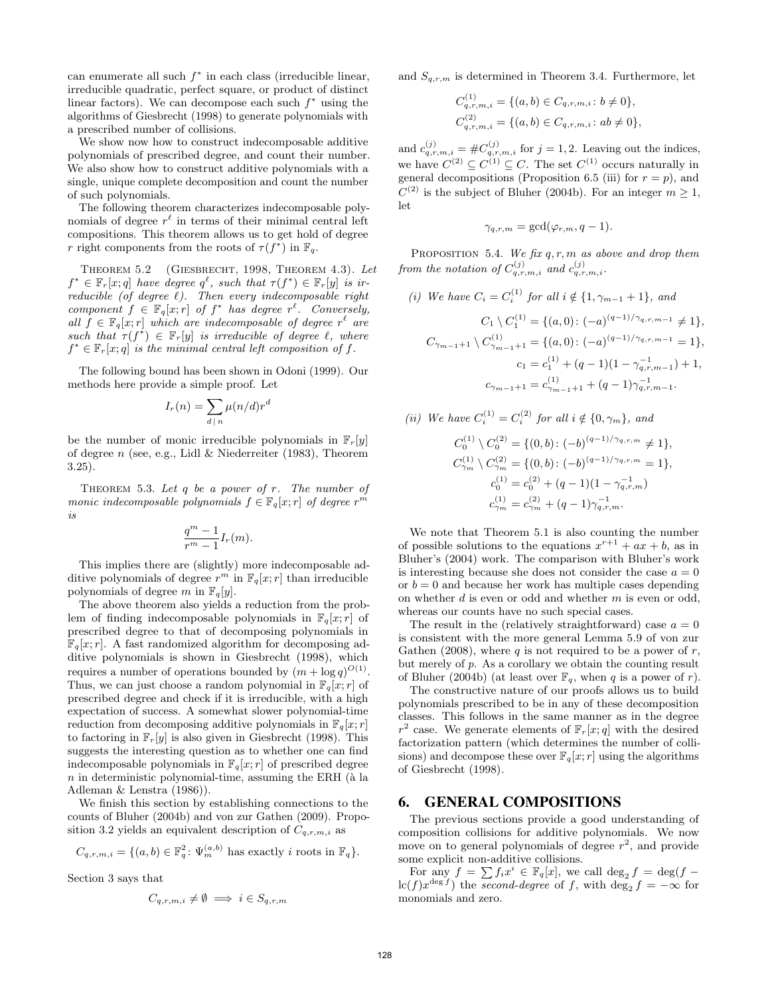can enumerate all such  $f^*$  in each class (irreducible linear, irreducible quadratic, perfect square, or product of distinct linear factors). We can decompose each such  $f^*$  using the algorithms of [Giesbrecht](#page-7-12) [\(1998\)](#page-7-12) to generate polynomials with a prescribed number of collisions.

We show now how to construct indecomposable additive polynomials of prescribed degree, and count their number. We also show how to construct additive polynomials with a single, unique complete decomposition and count the number of such polynomials.

The following theorem characterizes indecomposable polynomials of degree  $r^{\ell}$  in terms of their minimal central left compositions. This theorem allows us to get hold of degree r right components from the roots of  $\tau(f^*)$  in  $\mathbb{F}_q$ .

Theorem 5.2 [\(Giesbrecht, 1998,](#page-7-12) Theorem 4.3). Let  $f^* \in \mathbb{F}_r[x; q]$  have degree  $q^{\ell}$ , such that  $\tau(f^*) \in \mathbb{F}_r[y]$  is irreducible (of degree  $\ell$ ). Then every indecomposable right component  $f \in \mathbb{F}_q[x; r]$  of  $f^*$  has degree  $r^{\ell}$ . Conversely, all  $\hat{f} \in \mathbb{F}_{q}[x;r]$  which are indecomposable of degree  $r^{\ell}$  are such that  $\tau(f^*) \in \mathbb{F}_r[y]$  is irreducible of degree  $\ell$ , where  $f^* \in \mathbb{F}_r[x; q]$  is the minimal central left composition of f.

The following bound has been shown in [Odoni](#page-7-28) [\(1999\)](#page-7-28). Our methods here provide a simple proof. Let

$$
I_r(n) = \sum_{d \mid n} \mu(n/d)r^d
$$

be the number of monic irreducible polynomials in  $\mathbb{F}_r[y]$ of degree n (see, e.g., [Lidl & Niederreiter](#page-7-17)  $(1983)$ , Theorem 3.25).

THEOREM 5.3. Let  $q$  be a power of  $r$ . The number of monic indecomposable polynomials  $f \in \mathbb{F}_q[x; r]$  of degree  $r^m$ is

$$
\frac{q^m-1}{r^m-1}I_r(m).
$$

This implies there are (slightly) more indecomposable additive polynomials of degree  $r^m$  in  $\mathbb{F}_q[x; r]$  than irreducible polynomials of degree m in  $\mathbb{F}_q[y]$ .

The above theorem also yields a reduction from the problem of finding indecomposable polynomials in  $\mathbb{F}_q[x; r]$  of prescribed degree to that of decomposing polynomials in  $\mathbb{F}_q[x; r]$ . A fast randomized algorithm for decomposing additive polynomials is shown in [Giesbrecht](#page-7-12) [\(1998\)](#page-7-12), which requires a number of operations bounded by  $(m + \log q)^{O(1)}$ . Thus, we can just choose a random polynomial in  $\mathbb{F}_q[x; r]$  of prescribed degree and check if it is irreducible, with a high expectation of success. A somewhat slower polynomial-time reduction from decomposing additive polynomials in  $\mathbb{F}_q[x; r]$ to factoring in  $\mathbb{F}_r[y]$  is also given in [Giesbrecht](#page-7-12) [\(1998\)](#page-7-12). This suggests the interesting question as to whether one can find indecomposable polynomials in  $\mathbb{F}_q[x; r]$  of prescribed degree  $n$  in deterministic polynomial-time, assuming the ERH ( $\grave{a}$  la [Adleman & Lenstra](#page-7-29) [\(1986\)](#page-7-29)).

We finish this section by establishing connections to the counts of [Bluher](#page-7-1) [\(2004b\)](#page-7-1) and [von zur Gathen](#page-7-14) [\(2009\)](#page-7-14). Propo-sition [3.2](#page-2-3) yields an equivalent description of  $C_{q,r,m,i}$  as

$$
C_{q,r,m,i} = \{(a,b) \in \mathbb{F}_q^2 \colon \Psi_m^{(a,b)} \text{ has exactly } i \text{ roots in } \mathbb{F}_q\}.
$$

[Section 3](#page-2-0) says that

$$
C_{q,r,m,i} \neq \emptyset \implies i \in S_{q,r,m}
$$

and  $S_{q,r,m}$  is determined in Theorem [3.4.](#page-2-4) Furthermore, let

$$
C_{q,r,m,i}^{(1)} = \{(a,b) \in C_{q,r,m,i} : b \neq 0\},
$$
  

$$
C_{q,r,m,i}^{(2)} = \{(a,b) \in C_{q,r,m,i} : ab \neq 0\},
$$

and  $c_{q,r,m,i}^{(j)} = \#C_{q,r,m,i}^{(j)}$  for  $j = 1, 2$ . Leaving out the indices, we have  $C^{(2)} \subseteq C^{(1)} \subseteq C$ . The set  $C^{(1)}$  occurs naturally in general decompositions (Proposition [6.5](#page-6-0) [\(iii\)](#page-6-1) for  $r = p$ ), and  $C^{(2)}$  is the subject of [Bluher](#page-7-1) [\(2004b\)](#page-7-1). For an integer  $m \geq 1$ , let

$$
\gamma_{q,r,m} = \gcd(\varphi_{r,m}, q-1).
$$

<span id="page-5-2"></span>PROPOSITION 5.4. We fix  $q, r, m$  as above and drop them from the notation of  $C_{q,r,m,i}^{(j)}$  and  $c_{q,r,m,i}^{(j)}$ .

(i) We have 
$$
C_i = C_i^{(1)}
$$
 for all  $i \notin \{1, \gamma_{m-1} + 1\}$ , and  
\n
$$
C_1 \setminus C_1^{(1)} = \{(a, 0) : (-a)^{(q-1)/\gamma_{q,r,m-1}} \neq 1\},
$$
\n
$$
C_{\gamma_{m-1}+1} \setminus C_{\gamma_{m-1}+1}^{(1)} = \{(a, 0) : (-a)^{(q-1)/\gamma_{q,r,m-1}} = 1\},
$$
\n
$$
c_1 = c_1^{(1)} + (q-1)(1 - \gamma_{q,r,m-1}^{-1}) + 1,
$$
\n
$$
c_{\gamma_{m-1}+1} = c_{\gamma_{m-1}+1}^{(1)} + (q-1)\gamma_{q,r,m-1}^{-1}.
$$

(ii) We have 
$$
C_i^{(1)} = C_i^{(2)}
$$
 for all  $i \notin \{0, \gamma_m\}$ , and  
\n
$$
C_0^{(1)} \setminus C_0^{(2)} = \{(0, b) : (-b)^{(q-1)/\gamma_{q,r,m}} \neq 1\},
$$
\n
$$
C_{\gamma_m}^{(1)} \setminus C_{\gamma_m}^{(2)} = \{(0, b) : (-b)^{(q-1)/\gamma_{q,r,m}} = 1\},
$$
\n
$$
c_0^{(1)} = c_0^{(2)} + (q-1)(1 - \gamma_{q,r,m}^{-1})
$$

$$
c_{\gamma_m}^{(1)} = c_{\gamma_m}^{(2)} + (q-1)\gamma_{q,r,m}^{-1}.
$$
  
We note that Theorem 5.1 is also counting the number possible solutions to the equations  $x^{r+1} + ax + b$ , as in

of possib as in Bluher's (2004) work. The comparison with Bluher's work is interesting because she does not consider the case  $a = 0$ or  $b = 0$  and because her work has multiple cases depending on whether  $d$  is even or odd and whether  $m$  is even or odd, whereas our counts have no such special cases.

The result in the (relatively straightforward) case  $a = 0$ is consistent with the more general Lemma 5.9 of [von zur](#page-7-18) [Gathen](#page-7-18) [\(2008\)](#page-7-18), where  $q$  is not required to be a power of  $r$ , but merely of  $p$ . As a corollary we obtain the counting result of [Bluher](#page-7-1) [\(2004b\)](#page-7-1) (at least over  $\mathbb{F}_q$ , when q is a power of r).

The constructive nature of our proofs allows us to build polynomials prescribed to be in any of these decomposition classes. This follows in the same manner as in the degree  $r^2$  case. We generate elements of  $\mathbb{F}_r[x;q]$  with the desired factorization pattern (which determines the number of collisions) and decompose these over  $\mathbb{F}_q[x; r]$  using the algorithms of [Giesbrecht](#page-7-12) [\(1998\)](#page-7-12).

### <span id="page-5-0"></span>6. GENERAL COMPOSITIONS

The previous sections provide a good understanding of composition collisions for additive polynomials. We now move on to general polynomials of degree  $r^2$ , and provide some explicit non-additive collisions.

<span id="page-5-1"></span>For any  $f = \sum f_i x^i \in \mathbb{F}_q[x]$ , we call  $\deg_2 f = \deg(f \mathrm{lc}(f)x^{\deg f})$  the second-degree of f, with  $\deg_2 f = -\infty$  for monomials and zero.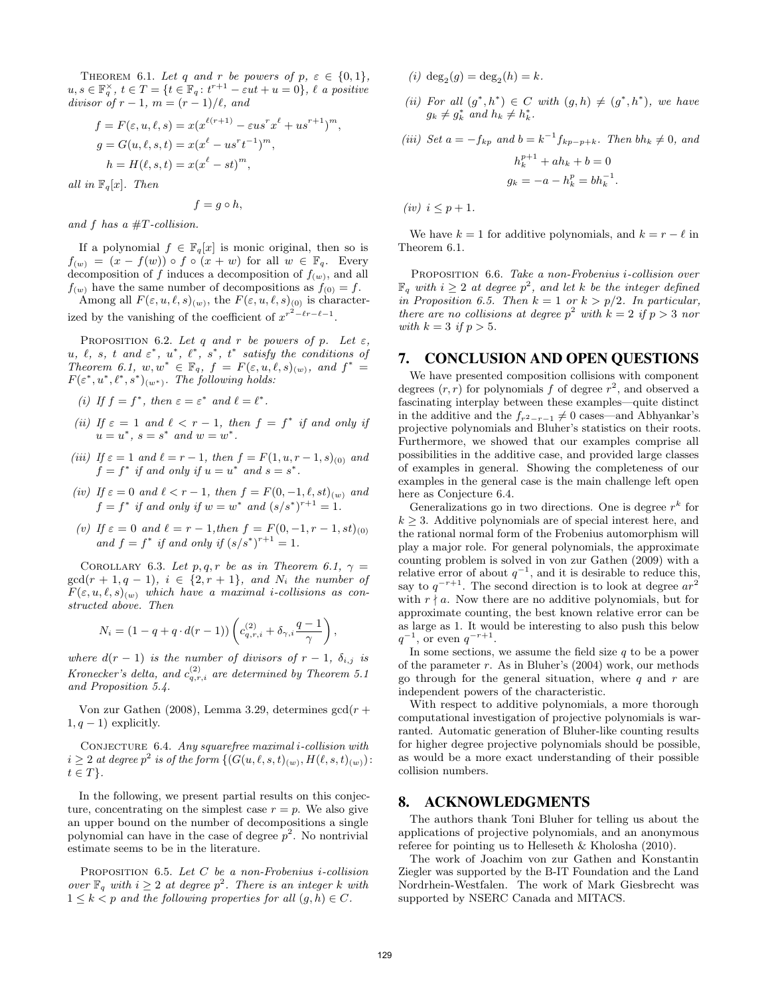THEOREM 6.1. Let q and r be powers of  $p, \varepsilon \in \{0, 1\},\$  $u, s \in \mathbb{F}_q^{\times}$ ,  $t \in T = \{t \in \mathbb{F}_q : t^{r+1} - \varepsilon ut + u = 0\}$ ,  $\ell$  a positive divisor of  $r - 1$ ,  $m = (r - 1)/\ell$ , and

$$
f = F(\varepsilon, u, \ell, s) = x(x^{\ell(r+1)} - \varepsilon u s^r x^{\ell} + u s^{r+1})^m,
$$
  
\n
$$
g = G(u, \ell, s, t) = x(x^{\ell} - u s^r t^{-1})^m,
$$
  
\n
$$
h = H(\ell, s, t) = x(x^{\ell} - st)^m,
$$

all in  $\mathbb{F}_q[x]$ . Then

$$
f=g\circ h,
$$

and f has a  $\#T$ -collision.

If a polynomial  $f \in \mathbb{F}_q[x]$  is monic original, then so is  $f(w) = (x - f(w)) \circ f \circ (x + w)$  for all  $w \in \mathbb{F}_q$ . Every decomposition of f induces a decomposition of  $f(w)$ , and all  $f(w)$  have the same number of decompositions as  $f(0) = f$ .

Among all  $F(\varepsilon, u, \ell, s)_{(w)}$ , the  $F(\varepsilon, u, \ell, s)_{(0)}$  is characterized by the vanishing of the coefficient of  $x^{r^2-\ell r-\ell-1}$ .

PROPOSITION 6.2. Let q and r be powers of p. Let  $\varepsilon$ , u,  $\ell$ , s, t and  $\varepsilon^*$ ,  $u^*$ ,  $\ell^*$ ,  $s^*$ ,  $t^*$  satisfy the conditions of Theorem [6.1,](#page-5-1)  $w, w^* \in \mathbb{F}_q$ ,  $f = F(\varepsilon, u, \ell, s)_{(w)}$ , and  $f^* =$  $F(\varepsilon^*, u^*, \ell^*, s^*)_{(w^*)}$ . The following holds:

(i) If  $f = f^*$ , then  $\varepsilon = \varepsilon^*$  and  $\ell = \ell^*$ .

- (ii) If  $\varepsilon = 1$  and  $\ell < r 1$ , then  $f = f^*$  if and only if  $u = u^*, s = s^* \text{ and } w = w^*.$
- (iii) If  $\varepsilon = 1$  and  $\ell = r 1$ , then  $f = F(1, u, r 1, s)_{(0)}$  and  $f = f^*$  if and only if  $u = u^*$  and  $s = s^*$ .
- (iv) If  $\varepsilon = 0$  and  $\ell < r 1$ , then  $f = F(0, -1, \ell, st)_{(w)}$  and  $f = f^*$  if and only if  $w = w^*$  and  $(s/s^*)^{r+1} = 1$ .
- (v) If  $\varepsilon = 0$  and  $\ell = r 1$ , then  $f = F(0, -1, r 1, st)_{(0)}$ and  $f = f^*$  if and only if  $(s/s^*)^{r+1} = 1$ .

COROLLARY 6.3. Let p, q, r be as in Theorem [6.1,](#page-5-1)  $\gamma =$  $gcd(r + 1, q - 1), i \in \{2, r + 1\}, and N_i$  the number of  $F(\varepsilon, u, \ell, s)_{(w)}$  which have a maximal i-collisions as constructed above. Then

$$
N_i = (1 - q + q \cdot d(r - 1)) \left( c_{q,r,i}^{(2)} + \delta_{\gamma,i} \frac{q - 1}{\gamma} \right)
$$

where  $d(r-1)$  is the number of divisors of  $r-1$ ,  $\delta_{i,j}$  is Kronecker's delta, and  $c_{q,r,i}^{(2)}$  are determined by Theorem [5.1](#page-4-1) and Proposition [5.4.](#page-5-2)

[Von zur Gathen](#page-7-18) [\(2008\)](#page-7-18), Lemma 3.29, determines  $gcd(r +$  $1, q - 1$ ) explicitly.

<span id="page-6-2"></span>CONJECTURE 6.4. Any squarefree maximal i-collision with  $i \geq 2$  at degree  $p^2$  is of the form  $\{(G(u, \ell, s, t)_{(w)}, H(\ell, s, t)_{(w)})\}$ :  $t \in T$ .

In the following, we present partial results on this conjecture, concentrating on the simplest case  $r = p$ . We also give an upper bound on the number of decompositions a single polynomial can have in the case of degree  $p^2$ . No nontrivial estimate seems to be in the literature.

<span id="page-6-0"></span>Proposition 6.5. Let C be a non-Frobenius i-collision over  $\mathbb{F}_q$  with  $i \geq 2$  at degree  $p^2$ . There is an integer k with  $1 \leq k < p$  and the following properties for all  $(g, h) \in C$ .

(*i*)  $\deg_2(g) = \deg_2(h) = k$ .

(ii) For all  $(g^*, h^*) \in C$  with  $(g, h) \neq (g^*, h^*)$ , we have  $g_k \neq g_k^*$  and  $h_k \neq h_k^*$ .

<span id="page-6-1"></span>(iii) Set  $a = -f_{kp}$  and  $b = k^{-1}f_{kp-p+k}$ . Then  $bh_k \neq 0$ , and  $h_k^{p+1} + ah_k + b = 0$ 

$$
g_k = -a - h_k^p = bh_k^{-1}.
$$

(iv)  $i \leq p+1$ .

We have  $k = 1$  for additive polynomials, and  $k = r - \ell$  in Theorem [6.1.](#page-5-1)

Proposition 6.6. Take a non-Frobenius i-collision over  $\mathbb{F}_q$  with  $i \geq 2$  at degree  $p^2$ , and let k be the integer defined in Proposition [6.5.](#page-6-0) Then  $k = 1$  or  $k > p/2$ . In particular, there are no collisions at degree  $p^2$  with  $k = 2$  if  $p > 3$  nor with  $k = 3$  if  $p > 5$ .

### 7. CONCLUSION AND OPEN QUESTIONS

We have presented composition collisions with component degrees  $(r, r)$  for polynomials f of degree  $r^2$ , and observed a fascinating interplay between these examples—quite distinct in the additive and the  $f_{r^2-r-1} \neq 0$  cases—and [Abhyankar'](#page-7-0)s projective polynomials and [Bluher'](#page-7-1)s statistics on their roots. Furthermore, we showed that our examples comprise all possibilities in the additive case, and provided large classes of examples in general. Showing the completeness of our examples in the general case is the main challenge left open here as Conjecture [6.4.](#page-6-2)

Generalizations go in two directions. One is degree  $r^k$  for  $k \geq 3$ . Additive polynomials are of special interest here, and the rational normal form of the Frobenius automorphism will play a major role. For general polynomials, the approximate counting problem is solved in [von zur Gathen](#page-7-14) [\(2009\)](#page-7-14) with a relative error of about  $q^{-1}$ , and it is desirable to reduce this, say to  $q^{-r+1}$ . The second direction is to look at degree  $ar^2$ with  $r \nmid a$ . Now there are no additive polynomials, but for approximate counting, the best known relative error can be as large as 1. It would be interesting to also push this below  $q^{-1}$ , or even  $q^{-r+1}$ .

In some sections, we assume the field size  $q$  to be a power of the parameter  $r$ . As in [Bluher'](#page-7-1)s (2004) work, our methods go through for the general situation, where  $q$  and  $r$  are independent powers of the characteristic.

With respect to additive polynomials, a more thorough computational investigation of projective polynomials is warranted. Automatic generation of Bluher-like counting results for higher degree projective polynomials should be possible, as would be a more exact understanding of their possible collision numbers.

### 8. ACKNOWLEDGMENTS

The authors thank Toni Bluher for telling us about the applications of projective polynomials, and an anonymous referee for pointing us to [Helleseth & Kholosha](#page-7-24) [\(2010\)](#page-7-24).

The work of Joachim von zur Gathen and Konstantin Ziegler was supported by the B-IT Foundation and the Land Nordrhein-Westfalen. The work of Mark Giesbrecht was supported by NSERC Canada and MITACS.

,